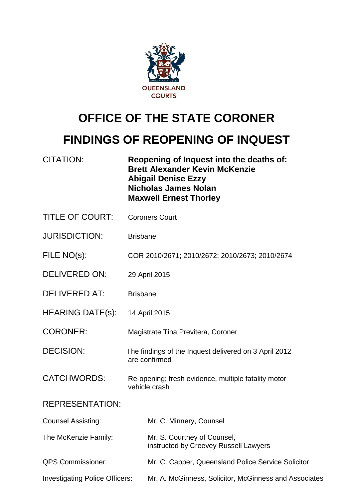

## **OFFICE OF THE STATE CORONER**

## **FINDINGS OF REOPENING OF INQUEST**

| <b>CITATION:</b>                      | Reopening of Inquest into the deaths of:<br><b>Brett Alexander Kevin McKenzie</b><br><b>Abigail Denise Ezzy</b><br><b>Nicholas James Nolan</b><br><b>Maxwell Ernest Thorley</b> |                                                                      |
|---------------------------------------|---------------------------------------------------------------------------------------------------------------------------------------------------------------------------------|----------------------------------------------------------------------|
| <b>TITLE OF COURT:</b>                | <b>Coroners Court</b>                                                                                                                                                           |                                                                      |
| <b>JURISDICTION:</b>                  | <b>Brisbane</b>                                                                                                                                                                 |                                                                      |
| FILE NO(s):                           | COR 2010/2671; 2010/2672; 2010/2673; 2010/2674                                                                                                                                  |                                                                      |
| <b>DELIVERED ON:</b>                  | 29 April 2015                                                                                                                                                                   |                                                                      |
| <b>DELIVERED AT:</b>                  | <b>Brisbane</b>                                                                                                                                                                 |                                                                      |
| <b>HEARING DATE(s):</b>               | 14 April 2015                                                                                                                                                                   |                                                                      |
| <b>CORONER:</b>                       | Magistrate Tina Previtera, Coroner                                                                                                                                              |                                                                      |
| <b>DECISION:</b>                      | The findings of the Inquest delivered on 3 April 2012<br>are confirmed                                                                                                          |                                                                      |
| <b>CATCHWORDS:</b>                    | Re-opening; fresh evidence, multiple fatality motor<br>vehicle crash                                                                                                            |                                                                      |
| <b>REPRESENTATION:</b>                |                                                                                                                                                                                 |                                                                      |
| <b>Counsel Assisting:</b>             |                                                                                                                                                                                 | Mr. C. Minnery, Counsel                                              |
| The McKenzie Family:                  |                                                                                                                                                                                 | Mr. S. Courtney of Counsel,<br>instructed by Creevey Russell Lawyers |
| <b>QPS Commissioner:</b>              |                                                                                                                                                                                 | Mr. C. Capper, Queensland Police Service Solicitor                   |
| <b>Investigating Police Officers:</b> |                                                                                                                                                                                 | Mr. A. McGinness, Solicitor, McGinness and Associates                |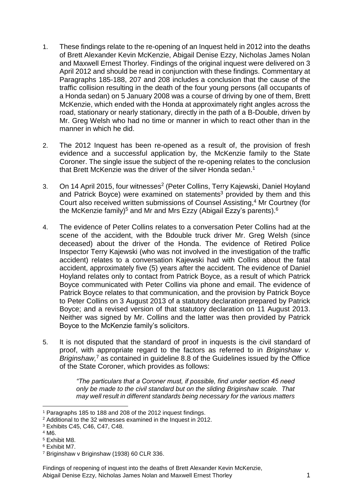- 1. These findings relate to the re-opening of an Inquest held in 2012 into the deaths of Brett Alexander Kevin McKenzie, Abigail Denise Ezzy, Nicholas James Nolan and Maxwell Ernest Thorley. Findings of the original inquest were delivered on 3 April 2012 and should be read in conjunction with these findings. Commentary at Paragraphs 185-188, 207 and 208 includes a conclusion that the cause of the traffic collision resulting in the death of the four young persons (all occupants of a Honda sedan) on 5 January 2008 was a course of driving by one of them, Brett McKenzie, which ended with the Honda at approximately right angles across the road, stationary or nearly stationary, directly in the path of a B-Double, driven by Mr. Greg Welsh who had no time or manner in which to react other than in the manner in which he did.
- 2. The 2012 Inquest has been re-opened as a result of, the provision of fresh evidence and a successful application by, the McKenzie family to the State Coroner. The single issue the subject of the re-opening relates to the conclusion that Brett McKenzie was the driver of the silver Honda sedan.<sup>1</sup>
- 3. On 14 April 2015, four witnesses<sup>2</sup> (Peter Collins, Terry Kajewski, Daniel Hoyland and Patrick Boyce) were examined on statements<sup>3</sup> provided by them and this Court also received written submissions of Counsel Assisting, <sup>4</sup> Mr Courtney (for the McKenzie family)<sup>5</sup> and Mr and Mrs Ezzy (Abigail Ezzy's parents).<sup>6</sup>
- 4. The evidence of Peter Collins relates to a conversation Peter Collins had at the scene of the accident, with the Bdouble truck driver Mr. Greg Welsh (since deceased) about the driver of the Honda. The evidence of Retired Police Inspector Terry Kajewski (who was not involved in the investigation of the traffic accident) relates to a conversation Kajewski had with Collins about the fatal accident, approximately five (5) years after the accident. The evidence of Daniel Hoyland relates only to contact from Patrick Boyce, as a result of which Patrick Boyce communicated with Peter Collins via phone and email. The evidence of Patrick Boyce relates to that communication, and the provision by Patrick Boyce to Peter Collins on 3 August 2013 of a statutory declaration prepared by Patrick Boyce; and a revised version of that statutory declaration on 11 August 2013. Neither was signed by Mr. Collins and the latter was then provided by Patrick Boyce to the McKenzie family's solicitors.
- 5. It is not disputed that the standard of proof in inquests is the civil standard of proof, with appropriate regard to the factors as referred to in *Briginshaw v. Briginshaw,* <sup>7</sup> as contained in guideline 8.8 of the Guidelines issued by the Office of the State Coroner, which provides as follows:

*"The particulars that a Coroner must, if possible, find under section 45 need only be made to the civil standard but on the sliding Briginshaw scale. That may well result in different standards being necessary for the various matters* 

<sup>4</sup> M6.

1

<sup>1</sup> Paragraphs 185 to 188 and 208 of the 2012 inquest findings.

<sup>2</sup> Additional to the 32 witnesses examined in the Inquest in 2012.

<sup>3</sup> Exhibits C45, C46, C47, C48.

<sup>5</sup> Exhibit M8.

<sup>6</sup> Exhibit M7.

<sup>7</sup> Briginshaw v Briginshaw (1938) 60 CLR 336.

Findings of reopening of inquest into the deaths of Brett Alexander Kevin McKenzie, Abigail Denise Ezzy, Nicholas James Nolan and Maxwell Ernest Thorley 1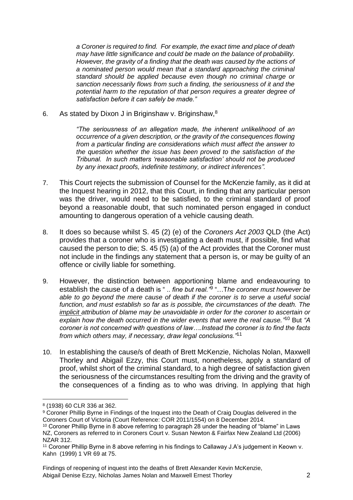*a Coroner is required to find. For example, the exact time and place of death may have little significance and could be made on the balance of probability. However, the gravity of a finding that the death was caused by the actions of a nominated person would mean that a standard approaching the criminal standard should be applied because even though no criminal charge or sanction necessarily flows from such a finding, the seriousness of it and the potential harm to the reputation of that person requires a greater degree of satisfaction before it can safely be made."*

6. As stated by Dixon J in Briginshaw v. Briginshaw,<sup>8</sup>

*"The seriousness of an allegation made, the inherent unlikelihood of an occurrence of a given description, or the gravity of the consequences flowing from a particular finding are considerations which must affect the answer to the question whether the issue has been proved to the satisfaction of the Tribunal. In such matters 'reasonable satisfaction' should not be produced by any inexact proofs, indefinite testimony, or indirect inferences".* 

- 7. This Court rejects the submission of Counsel for the McKenzie family, as it did at the Inquest hearing in 2012, that this Court, in finding that any particular person was the driver, would need to be satisfied, to the criminal standard of proof beyond a reasonable doubt, that such nominated person engaged in conduct amounting to dangerous operation of a vehicle causing death.
- 8. It does so because whilst S. 45 (2) (e) of the *Coroners Act 2003* QLD (the Act) provides that a coroner who is investigating a death must, if possible, find what caused the person to die; S. 45 (5) (a) of the Act provides that the Coroner must not include in the findings any statement that a person is, or may be guilty of an offence or civilly liable for something.
- 9. However, the distinction between apportioning blame and endeavouring to establish the cause of a death is " .. *fine but real."*<sup>9</sup> "…T*he coroner must however be*  able to go beyond the mere cause of death if the coroner is to serve a useful social *function, and must establish so far as is possible, the circumstances of the death. The implicit attribution of blame may be unavoidable in order for the coroner to ascertain or*  explain how the death occurred in the wider events that were the real cause."<sup>10</sup> But "A *coroner is not concerned with questions of law….Instead the coroner is to find the facts from which others may, if necessary, draw legal conclusions."*<sup>11</sup>
- 10. In establishing the cause/s of death of Brett McKenzie, Nicholas Nolan, Maxwell Thorley and Abigail Ezzy, this Court must, nonetheless, apply a standard of proof, whilst short of the criminal standard, to a high degree of satisfaction given the seriousness of the circumstances resulting from the driving and the gravity of the consequences of a finding as to who was driving. In applying that high

1

<sup>8</sup> (1938) 60 CLR 336 at 362.

<sup>9</sup> Coroner Phillip Byrne in Findings of the Inquest into the Death of Craig Douglas delivered in the Coroners Court of Victoria (Court Reference: COR 2011/1554) on 8 December 2014.

<sup>10</sup> Coroner Phillip Byrne in 8 above referring to paragraph 28 under the heading of "blame" in Laws NZ, Coroners as referred to in Coroners Court v. Susan Newton & Fairfax New Zealand Ltd (2006) NZAR 312.

<sup>11</sup> Coroner Phillip Byrne in 8 above referring in his findings to Callaway J.A's judgement in Keown v. Kahn (1999) 1 VR 69 at 75.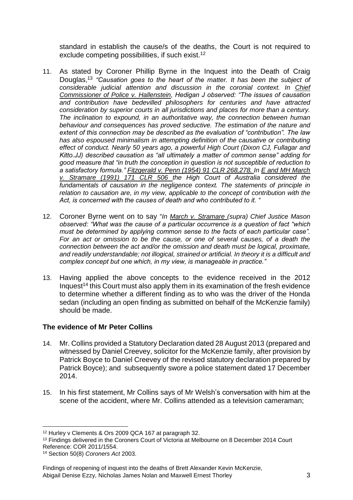standard in establish the cause/s of the deaths, the Court is not required to exclude competing possibilities, if such exist.<sup>12</sup>

- 11. As stated by Coroner Phillip Byrne in the Inquest into the Death of Craig Douglas, <sup>13</sup> *"Causation goes to the heart of the matter. It has been the subject of considerable judicial attention and discussion in the coronial context. In Chief Commissioner of Police v. Hallenstein, Hedigan J observed: "The issues of causation and contribution have bedevilled philosophers for centuries and have attracted consideration by superior courts in all jurisdictions and places for more than a century. The inclination to expound, in an authoritative way, the connection between human behaviour and consequences has proved seductive. The estimation of the nature and extent of this connection may be described as the evaluation of "contribution". The law has also espoused minimalism in attempting definition of the causative or contributing effect of conduct. Nearly 50 years ago, a powerful High Court (Dixon CJ, Fullagar and Kitto.JJ) described causation as "all ultimately a matter of common sense" adding for good measure that "in truth the conception in question is not susceptible of reduction to a satisfactory formula." Fitzgerald v. Penn (1954) 91 CLR 268,278. In E and MH March v. Stramare (1991) 171 CLR 506 the High Court of Australia considered the fundamentals of causation in the negligence context. The statements of principle in relation to causation are, in my view, applicable to the concept of contribution with the Act, is concerned with the causes of death and who contributed to it. "*
- 12. Coroner Byrne went on to say "*In March v. Stramare (supra) Chief Justice Mason observed: "What was the cause of a particular occurrence is a question of fact "which must be determined by applying common sense to the facts of each particular case". For an act or omission to be the cause, or one of several causes, of a death the connection between the act and/or the omission and death must be logical, proximate, and readily understandable; not illogical, strained or artificial. In theory it is a difficult and complex concept but one which, in my view, is manageable in practice."*
- 13. Having applied the above concepts to the evidence received in the 2012 Inquest<sup>14</sup> this Court must also apply them in its examination of the fresh evidence to determine whether a different finding as to who was the driver of the Honda sedan (including an open finding as submitted on behalf of the McKenzie family) should be made.

## **The evidence of Mr Peter Collins**

- 14. Mr. Collins provided a Statutory Declaration dated 28 August 2013 (prepared and witnessed by Daniel Creevey, solicitor for the McKenzie family, after provision by Patrick Boyce to Daniel Creevey of the revised statutory declaration prepared by Patrick Boyce); and subsequently swore a police statement dated 17 December 2014.
- 15. In his first statement, Mr Collins says of Mr Welsh's conversation with him at the scene of the accident, where Mr. Collins attended as a television cameraman;

<sup>13</sup> Findings delivered in the Coroners Court of Victoria at Melbourne on 8 December 2014 Court Reference: COR 2011/1554.

<sup>1</sup> <sup>12</sup> Hurley v Clements & Ors 2009 QCA 167 at paragraph 32.

<sup>14</sup> Section 50(8) *Coroners Act* 2003.

Findings of reopening of inquest into the deaths of Brett Alexander Kevin McKenzie, Abigail Denise Ezzy, Nicholas James Nolan and Maxwell Ernest Thorley 3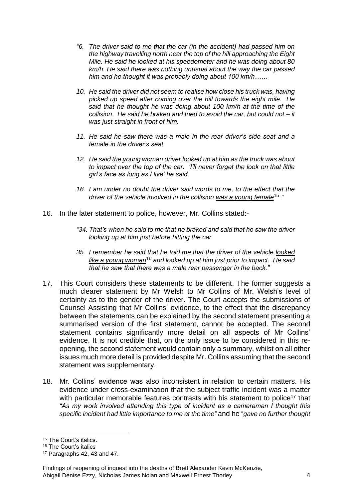- *"6. The driver said to me that the car (in the accident) had passed him on the highway travelling north near the top of the hill approaching the Eight Mile. He said he looked at his speedometer and he was doing about 80 km/h. He said there was nothing unusual about the way the car passed him and he thought it was probably doing about 100 km/h……*
- *10. He said the driver did not seem to realise how close his truck was, having picked up speed after coming over the hill towards the eight mile. He said that he thought he was doing about 100 km/h at the time of the collision. He said he braked and tried to avoid the car, but could not – it was just straight in front of him.*
- *11. He said he saw there was a male in the rear driver's side seat and a female in the driver's seat.*
- *12. He said the young woman driver looked up at him as the truck was about to impact over the top of the car. 'I'll never forget the look on that little girl's face as long as I live' he said.*
- *16. I am under no doubt the driver said words to me, to the effect that the driver of the vehicle involved in the collision was a young female*15*."*
- 16. In the later statement to police, however, Mr. Collins stated:-
	- *"34. That's when he said to me that he braked and said that he saw the driver looking up at him just before hitting the car.*
	- *35. I remember he said that he told me that the driver of the vehicle looked like a young woman*<sup>16</sup> *and looked up at him just prior to impact. He said that he saw that there was a male rear passenger in the back."*
- 17. This Court considers these statements to be different. The former suggests a much clearer statement by Mr Welsh to Mr Collins of Mr. Welsh's level of certainty as to the gender of the driver. The Court accepts the submissions of Counsel Assisting that Mr Collins' evidence, to the effect that the discrepancy between the statements can be explained by the second statement presenting a summarised version of the first statement, cannot be accepted. The second statement contains significantly more detail on all aspects of Mr Collins' evidence. It is not credible that, on the only issue to be considered in this reopening, the second statement would contain only a summary, whilst on all other issues much more detail is provided despite Mr. Collins assuming that the second statement was supplementary.
- 18. Mr. Collins' evidence was also inconsistent in relation to certain matters. His evidence under cross-examination that the subject traffic incident was a matter with particular memorable features contrasts with his statement to police<sup>17</sup> that *"As my work involved attending this type of incident as a cameraman I thought this specific incident had little importance to me at the time"* and he "*gave no further thought*

<sup>&</sup>lt;u>.</u> <sup>15</sup> The Court's italics.

<sup>16</sup> The Court's italics

<sup>17</sup> Paragraphs 42, 43 and 47.

Findings of reopening of inquest into the deaths of Brett Alexander Kevin McKenzie, Abigail Denise Ezzy, Nicholas James Nolan and Maxwell Ernest Thorley 4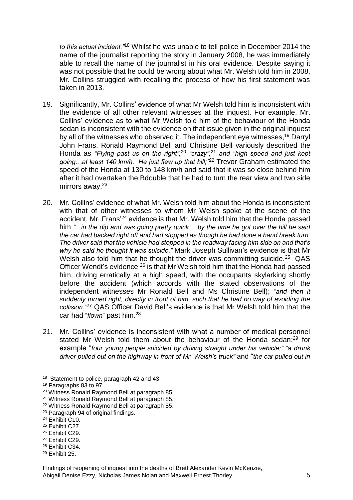*to this actual incident."*<sup>18</sup> Whilst he was unable to tell police in December 2014 the name of the journalist reporting the story in January 2008, he was immediately able to recall the name of the journalist in his oral evidence. Despite saying it was not possible that he could be wrong about what Mr. Welsh told him in 2008, Mr. Collins struggled with recalling the process of how his first statement was taken in 2013.

- 19. Significantly, Mr. Collins' evidence of what Mr Welsh told him is inconsistent with the evidence of all other relevant witnesses at the inquest. For example, Mr. Collins' evidence as to what Mr Welsh told him of the behaviour of the Honda sedan is inconsistent with the evidence on that issue given in the original inquest by all of the witnesses who observed it. The independent eye witnesses,<sup>19</sup> Darryl John Frans, Ronald Raymond Bell and Christine Bell variously described the Honda as *"Flying past us on the right",* <sup>20</sup> *"crazy",*<sup>21</sup> *and "high speed and just kept going…at least 140 km/h. He just flew up that hill;"* <sup>22</sup> Trevor Graham estimated the speed of the Honda at 130 to 148 km/h and said that it was so close behind him after it had overtaken the Bdouble that he had to turn the rear view and two side mirrors away.<sup>23</sup>
- 20. Mr. Collins' evidence of what Mr. Welsh told him about the Honda is inconsistent with that of other witnesses to whom Mr Welsh spoke at the scene of the accident. Mr. Frans<sup>'24</sup> evidence is that Mr. Welsh told him that the Honda passed him *".. in the dip and was going pretty quick… by the time he got over the hill he said the car had backed right off and had stopped as though he had done a hand break turn. The driver said that the vehicle had stopped in the roadway facing him side on and that's why he said he thought it was suicide."* Mark Joseph Sullivan's evidence is that Mr Welsh also told him that he thought the driver was committing suicide.<sup>25</sup> QAS Officer Wendt's evidence <sup>26</sup> is that Mr Welsh told him that the Honda had passed him, driving erratically at a high speed, with the occupants skylarking shortly before the accident (which accords with the stated observations of the independent witnesses Mr Ronald Bell and Ms Christine Bell); "*and then it suddenly turned right, directly in front of him, such that he had no way of avoiding the collision."*<sup>27</sup> QAS Officer David Bell's evidence is that Mr Welsh told him that the car had "*flown*" past him. 28
- 21. Mr. Collins' evidence is inconsistent with what a number of medical personnel stated Mr Welsh told them about the behaviour of the Honda sedan:<sup>29</sup> for example "*four young people suicided by driving straight under his vehicle;" "a drunk driver pulled out on the highway in front of Mr. Welsh's truck"* and "*the car pulled out in*

<u>.</u>

<sup>27</sup> Exhibit C29.

<sup>18</sup> Statement to police, paragraph 42 and 43.

<sup>19</sup> Paragraphs 83 to 97.

<sup>20</sup> Witness Ronald Raymond Bell at paragraph 85.

<sup>21</sup> Witness Ronald Raymond Bell at paragraph 85.

<sup>22</sup> Witness Ronald Raymond Bell at paragraph 85.

<sup>23</sup> Paragraph 94 of original findings.

<sup>24</sup> Exhibit C10.

<sup>25</sup> Exhibit C27.

<sup>26</sup> Exhibit C29.

<sup>28</sup> Exhibit C34.

<sup>29</sup> Exhibit 25.

Findings of reopening of inquest into the deaths of Brett Alexander Kevin McKenzie, Abigail Denise Ezzy, Nicholas James Nolan and Maxwell Ernest Thorley 5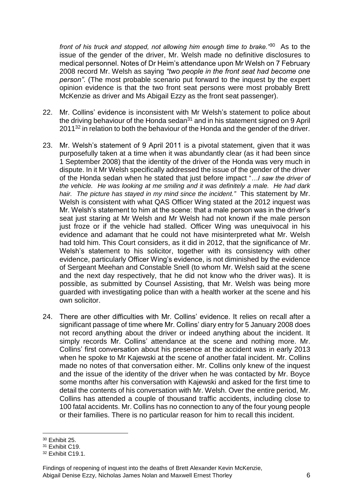*front of his truck and stopped, not allowing him enough time to brake."*<sup>30</sup> As to the issue of the gender of the driver, Mr. Welsh made no definitive disclosures to medical personnel. Notes of Dr Heim's attendance upon Mr Welsh on 7 February 2008 record Mr. Welsh as saying *"two people in the front seat had become one person"*. (The most probable scenario put forward to the inquest by the expert opinion evidence is that the two front seat persons were most probably Brett McKenzie as driver and Ms Abigail Ezzy as the front seat passenger).

- 22. Mr. Collins' evidence is inconsistent with Mr Welsh's statement to police about the driving behaviour of the Honda sedan $31$  and in his statement signed on 9 April 2011<sup>32</sup> in relation to both the behaviour of the Honda and the gender of the driver.
- 23. Mr. Welsh's statement of 9 April 2011 is a pivotal statement, given that it was purposefully taken at a time when it was abundantly clear (as it had been since 1 September 2008) that the identity of the driver of the Honda was very much in dispute. In it Mr Welsh specifically addressed the issue of the gender of the driver of the Honda sedan when he stated that just before impact "*…I saw the driver of the vehicle. He was looking at me smiling and it was definitely a male. He had dark hair. The picture has stayed in my mind since the incident."* This statement by Mr. Welsh is consistent with what QAS Officer Wing stated at the 2012 inquest was Mr. Welsh's statement to him at the scene: that a male person was in the driver's seat just staring at Mr Welsh and Mr Welsh had not known if the male person just froze or if the vehicle had stalled. Officer Wing was unequivocal in his evidence and adamant that he could not have misinterpreted what Mr. Welsh had told him. This Court considers, as it did in 2012, that the significance of Mr. Welsh's statement to his solicitor, together with its consistency with other evidence, particularly Officer Wing's evidence, is not diminished by the evidence of Sergeant Meehan and Constable Snell (to whom Mr. Welsh said at the scene and the next day respectively, that he did not know who the driver was). It is possible, as submitted by Counsel Assisting, that Mr. Welsh was being more guarded with investigating police than with a health worker at the scene and his own solicitor.
- 24. There are other difficulties with Mr. Collins' evidence. It relies on recall after a significant passage of time where Mr. Collins' diary entry for 5 January 2008 does not record anything about the driver or indeed anything about the incident. It simply records Mr. Collins' attendance at the scene and nothing more. Mr. Collins' first conversation about his presence at the accident was in early 2013 when he spoke to Mr Kajewski at the scene of another fatal incident. Mr. Collins made no notes of that conversation either. Mr. Collins only knew of the inquest and the issue of the identity of the driver when he was contacted by Mr. Boyce some months after his conversation with Kajewski and asked for the first time to detail the contents of his conversation with Mr. Welsh. Over the entire period, Mr. Collins has attended a couple of thousand traffic accidents, including close to 100 fatal accidents. Mr. Collins has no connection to any of the four young people or their families. There is no particular reason for him to recall this incident.

<sup>&</sup>lt;u>.</u> <sup>30</sup> Exhibit 25.

<sup>31</sup> Exhibit C19.

<sup>32</sup> Exhibit C19.1.

Findings of reopening of inquest into the deaths of Brett Alexander Kevin McKenzie, Abigail Denise Ezzy, Nicholas James Nolan and Maxwell Ernest Thorley 6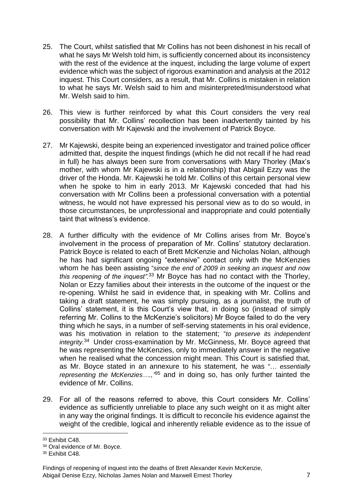- 25. The Court, whilst satisfied that Mr Collins has not been dishonest in his recall of what he says Mr Welsh told him, is sufficiently concerned about its inconsistency with the rest of the evidence at the inquest, including the large volume of expert evidence which was the subject of rigorous examination and analysis at the 2012 inquest. This Court considers, as a result, that Mr. Collins is mistaken in relation to what he says Mr. Welsh said to him and misinterpreted/misunderstood what Mr. Welsh said to him.
- 26. This view is further reinforced by what this Court considers the very real possibility that Mr. Collins' recollection has been inadvertently tainted by his conversation with Mr Kajewski and the involvement of Patrick Boyce.
- 27. Mr Kajewski, despite being an experienced investigator and trained police officer admitted that, despite the inquest findings (which he did not recall if he had read in full) he has always been sure from conversations with Mary Thorley (Max's mother, with whom Mr Kajewski is in a relationship) that Abigail Ezzy was the driver of the Honda. Mr. Kajewski he told Mr. Collins of this certain personal view when he spoke to him in early 2013. Mr Kajewski conceded that had his conversation with Mr Collins been a professional conversation with a potential witness, he would not have expressed his personal view as to do so would, in those circumstances, be unprofessional and inappropriate and could potentially taint that witness's evidence.
- 28. A further difficulty with the evidence of Mr Collins arises from Mr. Boyce's involvement in the process of preparation of Mr. Collins' statutory declaration. Patrick Boyce is related to each of Brett McKenzie and Nicholas Nolan, although he has had significant ongoing "extensive" contact only with the McKenzies whom he has been assisting "*since the end of 2009 in seeking an inquest and now this reopening of the inquest".*<sup>33</sup> Mr Boyce has had no contact with the Thorley, Nolan or Ezzy families about their interests in the outcome of the inquest or the re-opening. Whilst he said in evidence that, in speaking with Mr. Collins and taking a draft statement, he was simply pursuing, as a journalist, the truth of Collins' statement, it is this Court's view that, in doing so (instead of simply referring Mr. Collins to the McKenzie's solicitors) Mr Boyce failed to do the very thing which he says, in a number of self-serving statements in his oral evidence, was his motivation in relation to the statement; "*to preserve its independent*  integrity.<sup>34</sup> Under cross-examination by Mr. McGinness, Mr. Boyce agreed that he was representing the McKenzies, only to immediately answer in the negative when he realised what the concession might mean. This Court is satisfied that, as Mr. Boyce stated in an annexure to his statement, he was "… *essentially representing the McKenzies….,"* <sup>35</sup> and in doing so, has only further tainted the evidence of Mr. Collins.
- 29. For all of the reasons referred to above, this Court considers Mr. Collins' evidence as sufficiently unreliable to place any such weight on it as might alter in any way the original findings. It is difficult to reconcile his evidence against the weight of the credible, logical and inherently reliable evidence as to the issue of

<sup>&</sup>lt;u>.</u> <sup>33</sup> Exhibit C48.

<sup>34</sup> Oral evidence of Mr. Boyce.

<sup>&</sup>lt;sup>35</sup> Exhibit C48.

Findings of reopening of inquest into the deaths of Brett Alexander Kevin McKenzie, Abigail Denise Ezzy, Nicholas James Nolan and Maxwell Ernest Thorley 7